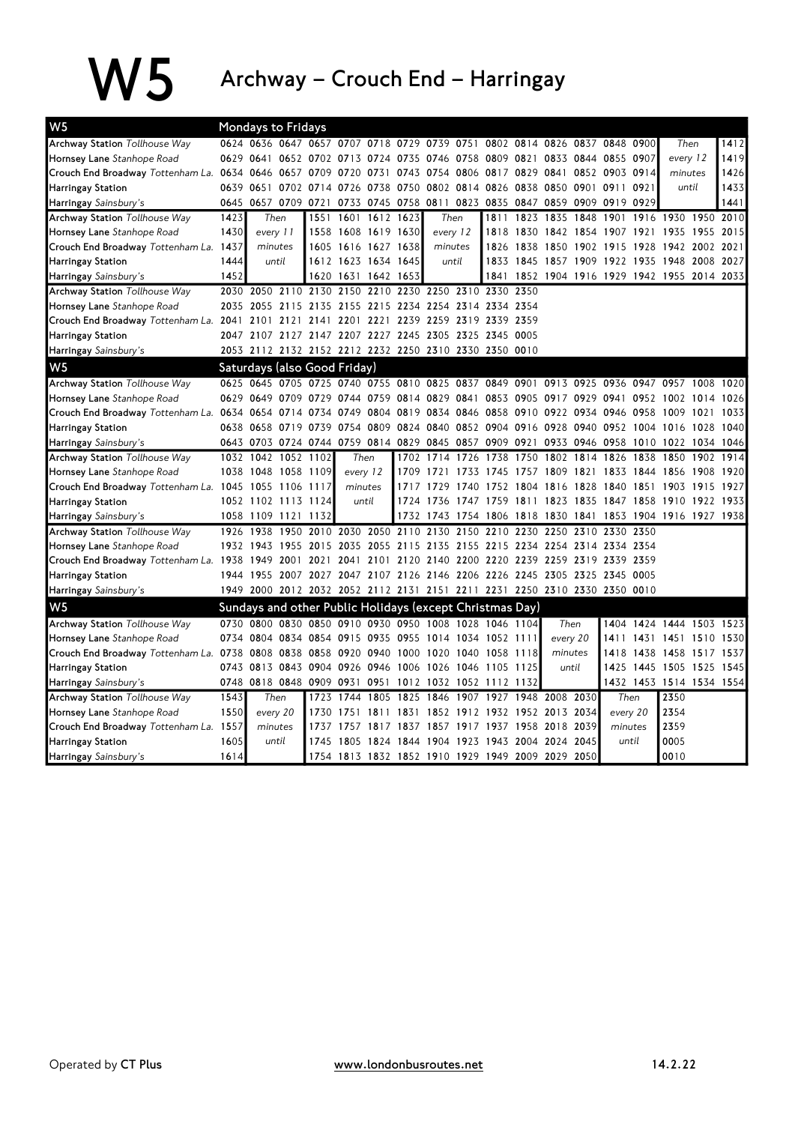$\mathbf{W5}$  Archway – Crouch End – Harringay

| W <sub>5</sub>                                             | <b>Mondays to Fridays</b> |                     |       |                          |                                                                                           |           |                                                        |                                                             |          |                |                |                                                   |           |                                              |           |                          |      |      |
|------------------------------------------------------------|---------------------------|---------------------|-------|--------------------------|-------------------------------------------------------------------------------------------|-----------|--------------------------------------------------------|-------------------------------------------------------------|----------|----------------|----------------|---------------------------------------------------|-----------|----------------------------------------------|-----------|--------------------------|------|------|
| Archway Station Tollhouse Way                              |                           |                     |       |                          | 0624 0636 0647 0657 0707 0718 0729 0739 0751 0802 0814 0826 0837 0848 0900                |           |                                                        |                                                             |          |                |                |                                                   |           |                                              |           | Then                     |      | 1412 |
| Hornsey Lane Stanhope Road                                 | 0629                      | 0641                |       | 0652 0702 0713           |                                                                                           |           | 0724 0735 0746 0758                                    |                                                             |          | 0809 0821 0833 |                |                                                   | 0844 0855 |                                              | 0907      | every 12                 |      | 1419 |
| Crouch End Broadway Tottenham La. 0634 0646 0657 0709 0720 |                           |                     |       |                          |                                                                                           | 0731      |                                                        | 0743 0754 0806 0817 0829 0841                               |          |                |                |                                                   |           | 0852 0903 0914                               |           | minutes                  |      | 1426 |
| Harringay Station                                          |                           |                     |       | 0639 0651 0702 0714 0726 |                                                                                           |           | 0738 0750 0802 0814 0826 0838 0850                     |                                                             |          |                |                |                                                   |           | 0901 0911                                    | 0921      | until                    |      | 1433 |
| Harringay Sainsbury's                                      | 0645                      |                     |       |                          | 0657 0709 0721 0733 0745 0758 0811 0823 0835 0847 0859 0909 0919                          |           |                                                        |                                                             |          |                |                |                                                   |           |                                              | 0929      |                          |      | 1441 |
| <b>Archway Station Tollhouse Way</b>                       | 1423                      | Then                |       |                          | 1551 1601 1612 1623                                                                       |           |                                                        |                                                             | Then     |                | 1811 1823 1835 |                                                   | 1848      | 1901                                         |           | 1916 1930 1950           |      | 2010 |
| Hornsey Lane Stanhope Road                                 | 1430                      | every 11            |       |                          | 1558 1608 1619 1630                                                                       |           |                                                        |                                                             | every 12 |                |                |                                                   |           | 1818 1830 1842 1854 1907 1921 1935 1955 2015 |           |                          |      |      |
| Crouch End Broadway Tottenham La. 1437                     |                           | minutes             |       |                          | 1605 1616 1627 1638                                                                       |           |                                                        | minutes                                                     |          |                | 1826 1838 1850 |                                                   | 1902 1915 |                                              |           | 1928 1942 2002           |      | 2021 |
| Harringay Station                                          | 1444                      | until               |       |                          | 1612 1623 1634 1645                                                                       |           |                                                        | until                                                       |          |                |                |                                                   |           | 1833 1845 1857 1909 1922 1935 1948           |           |                          | 2008 | 2027 |
| Harringay Sainsbury's                                      | 1452                      |                     |       |                          | 1620 1631 1642 1653                                                                       |           |                                                        |                                                             |          | 1841           |                |                                                   |           | 1852 1904 1916 1929 1942 1955 2014 2033      |           |                          |      |      |
| <b>Archway Station Tollhouse Way</b>                       |                           |                     |       |                          | 2030 2050 2110 2130 2150 2210 2230 2250 2310                                              |           |                                                        |                                                             |          | 2330 2350      |                |                                                   |           |                                              |           |                          |      |      |
| Hornsey Lane Stanhope Road                                 | 2035                      |                     |       |                          | 2055 2115 2135 2155 2215 2234 2254 2314 2334 2354                                         |           |                                                        |                                                             |          |                |                |                                                   |           |                                              |           |                          |      |      |
| Crouch End Broadway Tottenham La. 2041 2101                |                           |                     | 2121  | 2141                     | 2201 2221                                                                                 |           |                                                        | 2239 2259 2319                                              |          | 2339 2359      |                |                                                   |           |                                              |           |                          |      |      |
| Harringay Station                                          |                           |                     |       |                          | 2047 2107 2127 2147 2207 2227 2245 2305 2325 2345 0005                                    |           |                                                        |                                                             |          |                |                |                                                   |           |                                              |           |                          |      |      |
| Harringay Sainsbury's                                      |                           |                     |       |                          | 2053 2112 2132 2152 2212 2232 2250 2310 2330 2350 0010                                    |           |                                                        |                                                             |          |                |                |                                                   |           |                                              |           |                          |      |      |
| W <sub>5</sub>                                             |                           |                     |       |                          | Saturdays (also Good Friday)                                                              |           |                                                        |                                                             |          |                |                |                                                   |           |                                              |           |                          |      |      |
| Archway Station Tollhouse Way                              |                           |                     |       |                          | 0625 0645 0705 0725 0740 0755 0810 0825 0837 0849 0901 0913 0925 0936 0947 0957 1008      |           |                                                        |                                                             |          |                |                |                                                   |           |                                              |           |                          |      | 1020 |
| Hornsey Lane Stanhope Road                                 |                           |                     |       | 0629 0649 0709 0729 0744 |                                                                                           |           | 0759 0814 0829 0841 0853 0905 0917 0929 0941 0952 1002 |                                                             |          |                |                |                                                   |           |                                              |           |                          | 1014 | 1026 |
| Crouch End Broadway Tottenham La. 0634 0654 0714 0734      |                           |                     |       |                          | 0749                                                                                      |           | 0804 0819 0834 0846                                    |                                                             |          |                |                |                                                   |           | 0858 0910 0922 0934 0946 0958 1009           |           |                          | 1021 | 1033 |
| Harringay Station                                          |                           |                     |       |                          | 0638 0658 0719 0739 0754 0809 0824 0840 0852 0904 0916 0928 0940 0952 1004 1016 1028 1040 |           |                                                        |                                                             |          |                |                |                                                   |           |                                              |           |                          |      |      |
| Harringay Sainsbury's                                      |                           |                     |       |                          | 0643 0703 0724 0744 0759 0814 0829 0845 0857 0909 0921 0933 0946 0958 1010 1022 1034 1046 |           |                                                        |                                                             |          |                |                |                                                   |           |                                              |           |                          |      |      |
| <b>Archway Station Tollhouse Way</b>                       |                           | 1032 1042           |       | 1052 1102                |                                                                                           | Then      | 1702                                                   | 1714 1726                                                   |          | 1738           | 1750           |                                                   | 1802 1814 | 1826                                         | 1838      | 1850                     | 1902 | 1914 |
| Hornsey Lane Stanhope Road                                 |                           | 1038 1048 1058 1109 |       |                          | every 12                                                                                  |           |                                                        | 1709 1721 1733 1745 1757 1809 1821 1833 1844 1856           |          |                |                |                                                   |           |                                              |           |                          | 1908 | 1920 |
| Crouch End Broadway Tottenham La. 1045 1055 1106 1117      |                           |                     |       |                          | minutes                                                                                   |           | 1717                                                   | 1729                                                        | 1740     |                | 1752 1804 1816 |                                                   |           | 1828 1840 1851 1903                          |           |                          | 1915 | 1927 |
| Harringay Station                                          |                           | 1052 1102 1113 1124 |       |                          |                                                                                           | until     |                                                        | 1724 1736 1747 1759 1811 1823 1835 1847 1858 1910 1922      |          |                |                |                                                   |           |                                              |           |                          |      | 1933 |
| Harringay Sainsbury's                                      |                           | 1058 1109 1121 1132 |       |                          |                                                                                           |           |                                                        | 1732 1743 1754 1806 1818 1830 1841 1853 1904 1916 1927 1938 |          |                |                |                                                   |           |                                              |           |                          |      |      |
| Archway Station Tollhouse Way                              | 1926                      | 1938                | 1950  | 2010                     |                                                                                           | 2030 2050 |                                                        | 2110 2130 2150                                              |          | 2210           | 2230           | 2250                                              | 2310      | 2330 2350                                    |           |                          |      |      |
| Hornsey Lane Stanhope Road                                 |                           | 1932 1943           | 1955  | 2015                     | 2035                                                                                      | 2055      | 2115 2135                                              |                                                             | 2155     | 2215           | 2234 2254      |                                                   |           | 2314 2334 2354                               |           |                          |      |      |
| Crouch End Broadway Tottenham La. 1938 1949 2001 2021      |                           |                     |       |                          | 2041                                                                                      |           | 2101 2120 2140 2200 2220 2239 2259 2319 2339 2359      |                                                             |          |                |                |                                                   |           |                                              |           |                          |      |      |
| <b>Harringay Station</b>                                   |                           |                     |       |                          | 1944 1955 2007 2027 2047 2107 2126 2146 2206 2226 2245 2305 2325 2345 0005                |           |                                                        |                                                             |          |                |                |                                                   |           |                                              |           |                          |      |      |
| Harringay Sainsbury's                                      |                           |                     |       |                          | 1949 2000 2012 2032 2052 2112 2131 2151 2211 2231 2250 2310 2330 2350 0010                |           |                                                        |                                                             |          |                |                |                                                   |           |                                              |           |                          |      |      |
| W <sub>5</sub>                                             |                           |                     |       |                          | Sundays and other Public Holidays (except Christmas Day)                                  |           |                                                        |                                                             |          |                |                |                                                   |           |                                              |           |                          |      |      |
| Archway Station Tollhouse Way                              |                           |                     |       |                          | 0730 0800 0830 0850 0910 0930 0950 1008 1028 1046 1104                                    |           |                                                        |                                                             |          |                |                |                                                   | Then      |                                              |           | 1404 1424 1444 1503 1523 |      |      |
| Hornsey Lane Stanhope Road                                 |                           |                     |       |                          | 0734 0804 0834 0854 0915 0935 0955 1014 1034 1052 1111                                    |           |                                                        |                                                             |          |                |                |                                                   | every 20  | 1411                                         |           | 1431 1451 1510           |      | 1530 |
| Crouch End Broadway Tottenham La. 0738                     |                           |                     |       | 0808 0838 0858 0920      |                                                                                           |           | 0940 1000 1020 1040 1058 1118                          |                                                             |          |                |                |                                                   | minutes   | 1418                                         | 1438 1458 |                          | 1517 | 1537 |
| Harringay Station                                          |                           |                     |       |                          | 0743 0813 0843 0904 0926 0946 1006 1026 1046                                              |           |                                                        |                                                             |          | 1105 1125      |                |                                                   | until     | 1425                                         |           | 1445 1505 1525           |      | 1545 |
| Harringay Sainsbury's                                      |                           |                     |       | 0748 0818 0848 0909 0931 |                                                                                           | 0951      | 1012                                                   | 1032 1052                                                   |          | 1112           | 1132           |                                                   |           |                                              |           | 1432 1453 1514 1534 1554 |      |      |
| Archway Station Tollhouse Way                              | 1543                      | Then                |       | 1723                     | 1744                                                                                      | 1805      |                                                        | 1825 1846                                                   | 1907     |                |                | 1927 1948 2008 2030                               |           | Then                                         |           | 2350                     |      |      |
| Hornsey Lane Stanhope Road                                 | 1550                      | every 20            |       | 1730                     | 1751                                                                                      | 1811      | 1831                                                   | 1852 1912 1932 1952 2013                                    |          |                |                |                                                   | 2034      | every 20                                     |           | 2354                     |      |      |
| Crouch End Broadway Tottenham La. 1557                     |                           | minutes             |       | 1737                     | 1757 1817 1837 1857 1917 1937 1958 2018                                                   |           |                                                        |                                                             |          |                |                | 2039                                              |           | minutes                                      |           | 2359                     |      |      |
| <b>Harringay Station</b>                                   | 1605                      |                     | until |                          |                                                                                           |           |                                                        |                                                             |          |                |                | 1745 1805 1824 1844 1904 1923 1943 2004 2024 2045 |           | until                                        |           | 0005                     |      |      |
| Harringay Sainsbury's                                      | 1614                      |                     |       |                          | 1754 1813 1832 1852 1910 1929 1949 2009 2029                                              |           |                                                        |                                                             |          |                |                |                                                   | 2050      |                                              |           | 0010                     |      |      |